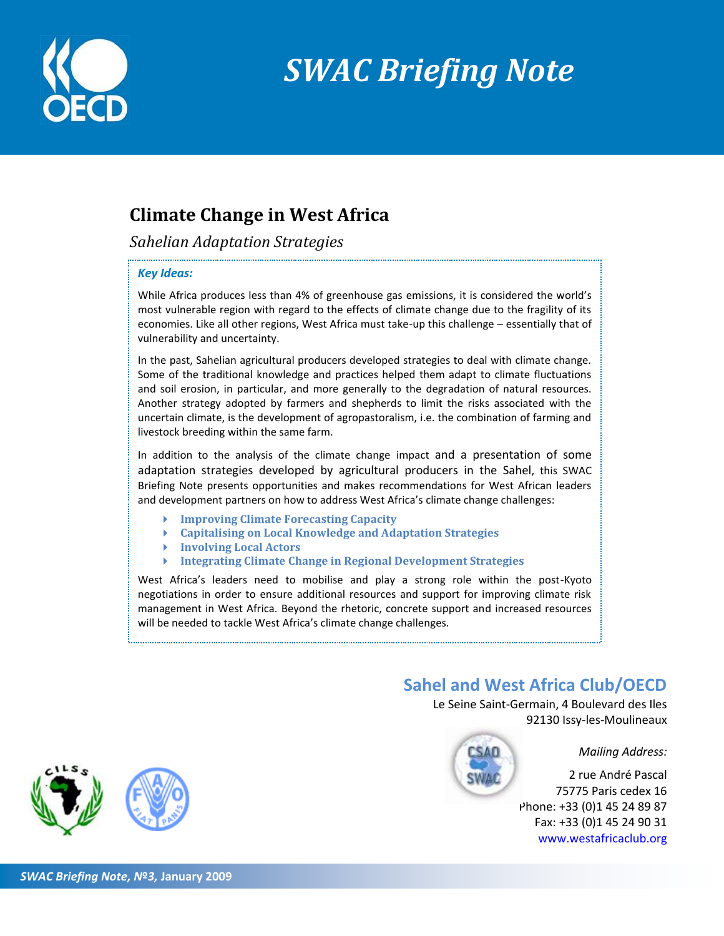

# *SWAC Briefing Note*

## **Climate Change in West Africa**

*Sahelian Adaptation Strategies*

#### *Key Ideas:*

While Africa produces less than 4% of greenhouse gas emissions, it is considered the world's most vulnerable region with regard to the effects of climate change due to the fragility of its economies. Like all other regions, West Africa must take-up this challenge – essentially that of vulnerability and uncertainty.

In the past, Sahelian agricultural producers developed strategies to deal with climate change. Some of the traditional knowledge and practices helped them adapt to climate fluctuations and soil erosion, in particular, and more generally to the degradation of natural resources. Another strategy adopted by farmers and shepherds to limit the risks associated with the uncertain climate, is the development of agropastoralism, i.e. the combination of farming and livestock breeding within the same farm.

In addition to the analysis of the climate change impact and a presentation of some adaptation strategies developed by agricultural producers in the Sahel, this SWAC Briefing Note presents opportunities and makes recommendations for West African leaders and development partners on how to address West Africa's climate change challenges:

- **Improving Climate Forecasting Capacity**
- **Capitalising on Local Knowledge and Adaptation Strategies**
- **Involving Local Actors**
- **Integrating Climate Change in Regional Development Strategies**

West Africa's leaders need to mobilise and play a strong role within the post-Kyoto negotiations in order to ensure additional resources and support for improving climate risk management in West Africa. Beyond the rhetoric, concrete support and increased resources will be needed to tackle West Africa's climate change challenges.

### **Sahel and West Africa Club/OECD**

Le Seine Saint-Germain, 4 Boulevard des Iles 92130 Issy-les-Moulineaux

*Mailing Address:*

2 rue André Pascal 75775 Paris cedex 16 Phone: +33 (0)1 45 24 89 87 Fax: +33 (0)1 45 24 90 31 [www.westafricaclub.org](http://www.westafricaclub.org/)

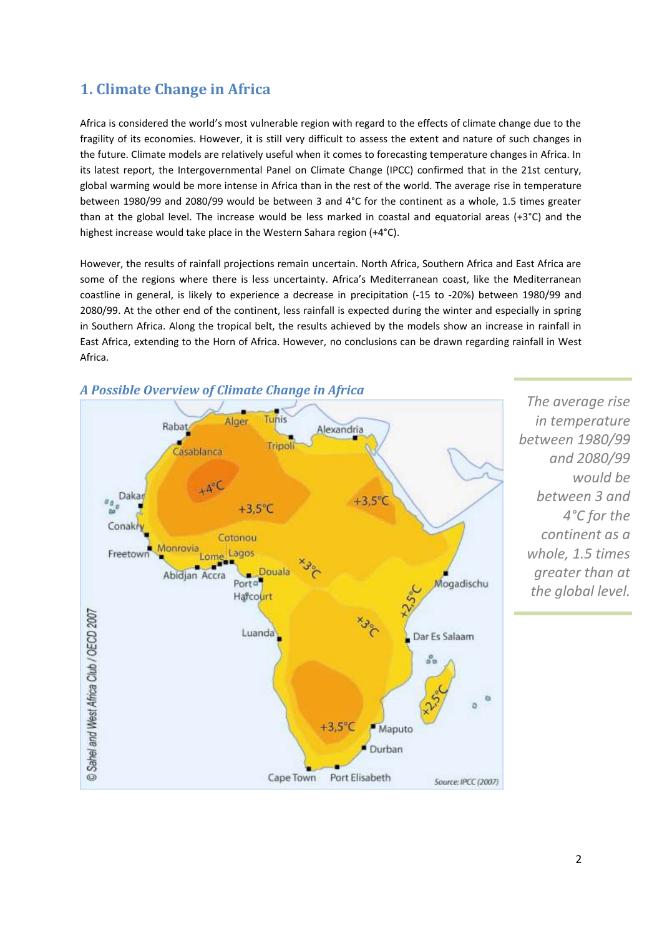### **1. Climate Change in Africa**

Africa is considered the world's most vulnerable region with regard to the effects of climate change due to the fragility of its economies. However, it is still very difficult to assess the extent and nature of such changes in the future. Climate models are relatively useful when it comes to forecasting temperature changes in Africa. In its latest report, the Intergovernmental Panel on Climate Change (IPCC) confirmed that in the 21st century, global warming would be more intense in Africa than in the rest of the world. The average rise in temperature between 1980/99 and 2080/99 would be between 3 and 4°C for the continent as a whole, 1.5 times greater than at the global level. The increase would be less marked in coastal and equatorial areas (+3 $^{\circ}$ C) and the highest increase would take place in the Western Sahara region (+4°C).

However, the results of rainfall projections remain uncertain. North Africa, Southern Africa and East Africa are some of the regions where there is less uncertainty. Africa's Mediterranean coast, like the Mediterranean coastline in general, is likely to experience a decrease in precipitation (-15 to -20%) between 1980/99 and 2080/99. At the other end of the continent, less rainfall is expected during the winter and especially in spring in Southern Africa. Along the tropical belt, the results achieved by the models show an increase in rainfall in East Africa, extending to the Horn of Africa. However, no conclusions can be drawn regarding rainfall in West Africa.



*The average rise in temperature between 1980/99 and 2080/99 would be between 3 and 4°C for the continent as a whole, 1.5 times greater than at the global level.*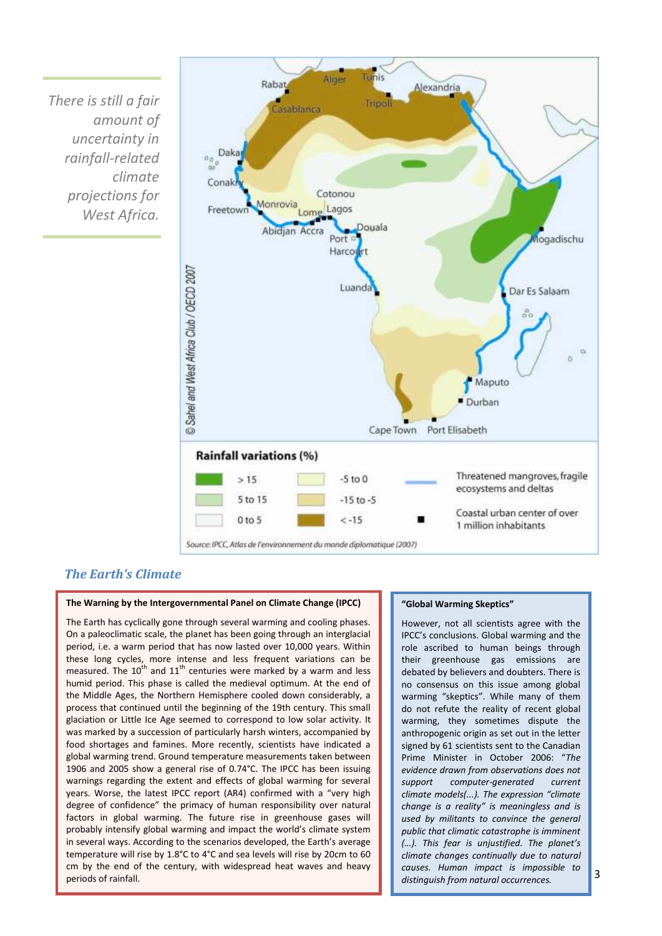*There is still a fair amount of uncertainty in rainfall-related climate projections for West Africa.*



### *The Earth's Climate*

#### **The Warning by the Intergovernmental Panel on Climate Change (IPCC)**

The Earth has cyclically gone through several warming and cooling phases. On a paleoclimatic scale, the planet has been going through an interglacial period, i.e. a warm period that has now lasted over 10,000 years. Within these long cycles, more intense and less frequent variations can be measured. The  $10^{th}$  and  $11^{th}$  centuries were marked by a warm and less humid period. This phase is called the medieval optimum. At the end of the Middle Ages, the Northern Hemisphere cooled down considerably, a process that continued until the beginning of the 19th century. This small glaciation or Little Ice Age seemed to correspond to low solar activity. It was marked by a succession of particularly harsh winters, accompanied by food shortages and famines. More recently, scientists have indicated a global warming trend. Ground temperature measurements taken between 1906 and 2005 show a general rise of 0.74°C. The IPCC has been issuing warnings regarding the extent and effects of global warming for several years. Worse, the latest IPCC report (AR4) confirmed with a "very high degree of confidence" the primacy of human responsibility over natural factors in global warming. The future rise in greenhouse gases will probably intensify global warming and impact the world's climate system in several ways. According to the scenarios developed, the Earth's average temperature will rise by 1.8°C to 4°C and sea levels will rise by 20cm to 60 cm by the end of the century, with widespread heat waves and heavy periods of rainfall.

#### **"Global Warming Skeptics"**

However, not all scientists agree with the IPCC's conclusions. Global warming and the role ascribed to human beings through their greenhouse gas emissions are debated by believers and doubters. There is no consensus on this issue among global warming "skeptics". While many of them do not refute the reality of recent global warming, they sometimes dispute the anthropogenic origin as set out in the letter signed by 61 scientists sent to the Canadian Prime Minister in October 2006: "*The evidence drawn from observations does not support computer-generated current climate models(...). The expression "climate change is a reality" is meaningless and is used by militants to convince the general public that climatic catastrophe is imminent (…). This fear is unjustified. The planet's climate changes continually due to natural causes. Human impact is impossible to distinguish from natural occurrences.*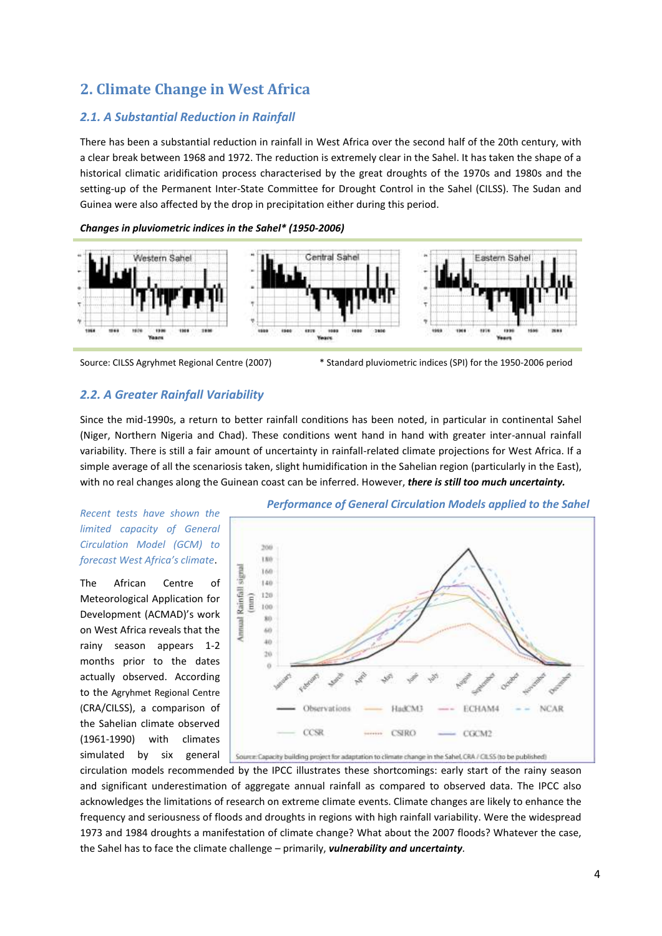### **2. Climate Change in West Africa**

### *2.1. A Substantial Reduction in Rainfall*

There has been a substantial reduction in rainfall in West Africa over the second half of the 20th century, with a clear break between 1968 and 1972. The reduction is extremely clear in the Sahel. It has taken the shape of a historical climatic aridification process characterised by the great droughts of the 1970s and 1980s and the setting-up of the Permanent Inter-State Committee for Drought Control in the Sahel (CILSS). The Sudan and Guinea were also affected by the drop in precipitation either during this period.

#### *Changes in pluviometric indices in the Sahel\* (1950-2006)*





Source: CILSS Agryhmet Regional Centre (2007) \* Standard pluviometric indices (SPI) for the 1950-2006 period

#### *2.2. A Greater Rainfall Variability*

Since the mid-1990s, a return to better rainfall conditions has been noted, in particular in continental Sahel (Niger, Northern Nigeria and Chad). These conditions went hand in hand with greater inter-annual rainfall variability. There is still a fair amount of uncertainty in rainfall-related climate projections for West Africa. If a simple average of all the scenariosis taken, slight humidification in the Sahelian region (particularly in the East), with no real changes along the Guinean coast can be inferred. However, *there is still too much uncertainty.*

### *Recent tests have shown the limited capacity of General Circulation Model (GCM) to forecast West Africa's climate*.

The African Centre of Meteorological Application for Development (ACMAD)'s work on West Africa reveals that the rainy season appears 1-2 months prior to the dates actually observed. According to the Agryhmet Regional Centre (CRA/CILSS), a comparison of the Sahelian climate observed (1961-1990) with climates simulated by six general



circulation models recommended by the IPCC illustrates these shortcomings: early start of the rainy season and significant underestimation of aggregate annual rainfall as compared to observed data. The IPCC also acknowledges the limitations of research on extreme climate events. Climate changes are likely to enhance the frequency and seriousness of floods and droughts in regions with high rainfall variability. Were the widespread 1973 and 1984 droughts a manifestation of climate change? What about the 2007 floods? Whatever the case, the Sahel has to face the climate challenge – primarily, *vulnerability and uncertainty.*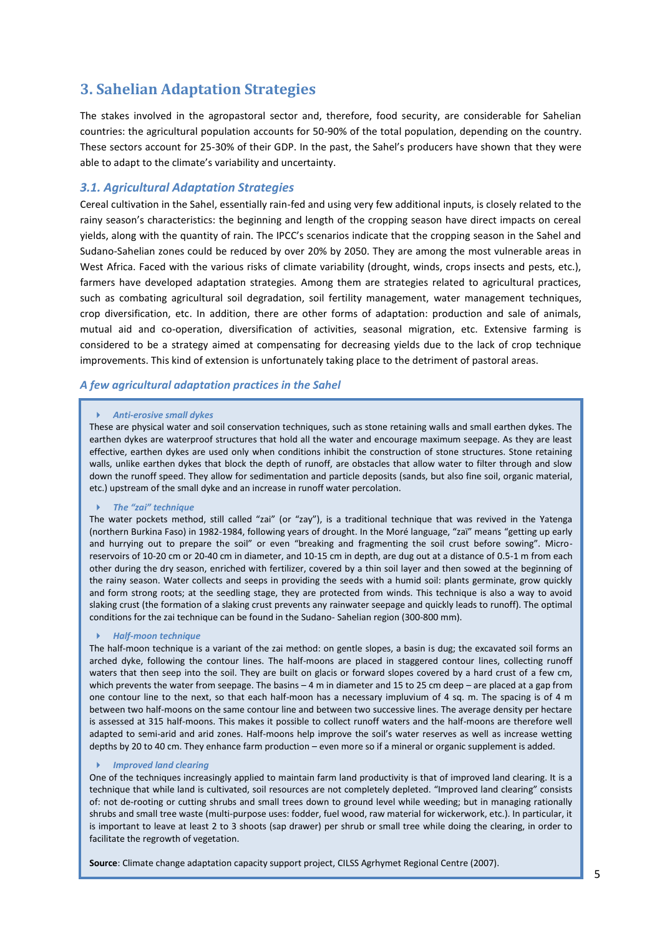### **3. Sahelian Adaptation Strategies**

The stakes involved in the agropastoral sector and, therefore, food security, are considerable for Sahelian countries: the agricultural population accounts for 50-90% of the total population, depending on the country. These sectors account for 25-30% of their GDP. In the past, the Sahel's producers have shown that they were able to adapt to the climate's variability and uncertainty.

#### *3.1. Agricultural Adaptation Strategies*

Cereal cultivation in the Sahel, essentially rain-fed and using very few additional inputs, is closely related to the rainy season's characteristics: the beginning and length of the cropping season have direct impacts on cereal yields, along with the quantity of rain. The IPCC's scenarios indicate that the cropping season in the Sahel and Sudano-Sahelian zones could be reduced by over 20% by 2050. They are among the most vulnerable areas in West Africa. Faced with the various risks of climate variability (drought, winds, crops insects and pests, etc.), farmers have developed adaptation strategies. Among them are strategies related to agricultural practices, such as combating agricultural soil degradation, soil fertility management, water management techniques, crop diversification, etc. In addition, there are other forms of adaptation: production and sale of animals, mutual aid and co-operation, diversification of activities, seasonal migration, etc. Extensive farming is considered to be a strategy aimed at compensating for decreasing yields due to the lack of crop technique improvements. This kind of extension is unfortunately taking place to the detriment of pastoral areas.

#### *A few agricultural adaptation practices in the Sahel*

#### *Anti-erosive small dykes*

These are physical water and soil conservation techniques, such as stone retaining walls and small earthen dykes. The earthen dykes are waterproof structures that hold all the water and encourage maximum seepage. As they are least effective, earthen dykes are used only when conditions inhibit the construction of stone structures. Stone retaining walls, unlike earthen dykes that block the depth of runoff, are obstacles that allow water to filter through and slow down the runoff speed. They allow for sedimentation and particle deposits (sands, but also fine soil, organic material, etc.) upstream of the small dyke and an increase in runoff water percolation.

#### *The "zai" technique*

The water pockets method, still called "zai" (or "zay"), is a traditional technique that was revived in the Yatenga (northern Burkina Faso) in 1982-1984, following years of drought. In the Moré language, "zaï" means "getting up early and hurrying out to prepare the soil" or even "breaking and fragmenting the soil crust before sowing". Microreservoirs of 10-20 cm or 20-40 cm in diameter, and 10-15 cm in depth, are dug out at a distance of 0.5-1 m from each other during the dry season, enriched with fertilizer, covered by a thin soil layer and then sowed at the beginning of the rainy season. Water collects and seeps in providing the seeds with a humid soil: plants germinate, grow quickly and form strong roots; at the seedling stage, they are protected from winds. This technique is also a way to avoid slaking crust (the formation of a slaking crust prevents any rainwater seepage and quickly leads to runoff). The optimal conditions for the zai technique can be found in the Sudano- Sahelian region (300-800 mm).

#### *Half-moon technique*

The half-moon technique is a variant of the zai method: on gentle slopes, a basin is dug; the excavated soil forms an arched dyke, following the contour lines. The half-moons are placed in staggered contour lines, collecting runoff waters that then seep into the soil. They are built on glacis or forward slopes covered by a hard crust of a few cm, which prevents the water from seepage. The basins – 4 m in diameter and 15 to 25 cm deep – are placed at a gap from one contour line to the next, so that each half-moon has a necessary impluvium of 4 sq. m. The spacing is of 4 m between two half-moons on the same contour line and between two successive lines. The average density per hectare is assessed at 315 half-moons. This makes it possible to collect runoff waters and the half-moons are therefore well adapted to semi-arid and arid zones. Half-moons help improve the soil's water reserves as well as increase wetting depths by 20 to 40 cm. They enhance farm production – even more so if a mineral or organic supplement is added.

#### *Improved land clearing*

One of the techniques increasingly applied to maintain farm land productivity is that of improved land clearing. It is a technique that while land is cultivated, soil resources are not completely depleted. "Improved land clearing" consists of: not de-rooting or cutting shrubs and small trees down to ground level while weeding; but in managing rationally shrubs and small tree waste (multi-purpose uses: fodder, fuel wood, raw material for wickerwork, etc.). In particular, it is important to leave at least 2 to 3 shoots (sap drawer) per shrub or small tree while doing the clearing, in order to facilitate the regrowth of vegetation.

**Source**: Climate change adaptation capacity support project, CILSS Agrhymet Regional Centre (2007).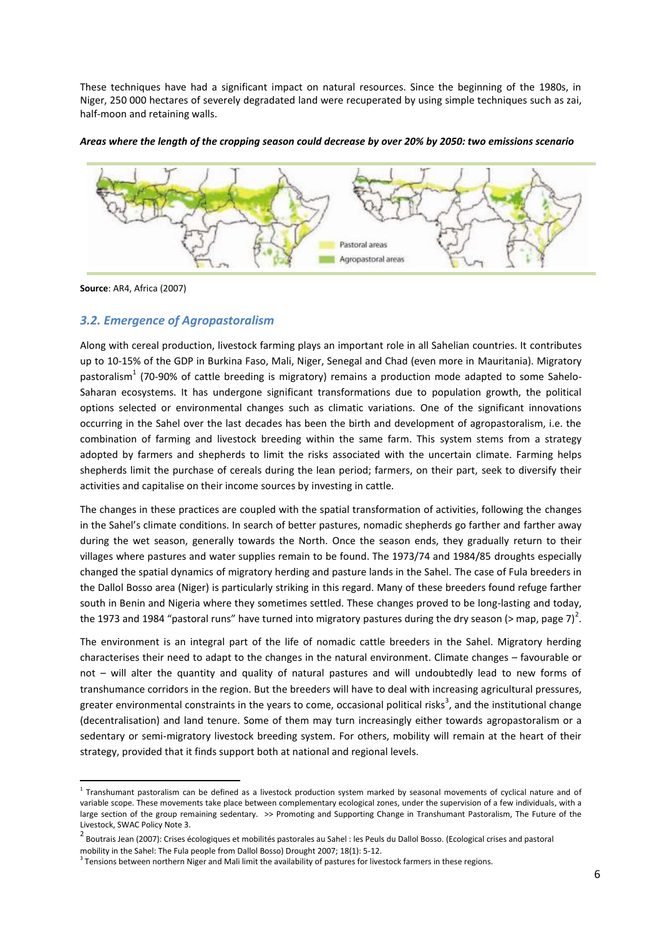These techniques have had a significant impact on natural resources. Since the beginning of the 1980s, in Niger, 250 000 hectares of severely degradated land were recuperated by using simple techniques such as zai, half-moon and retaining walls.

*Areas where the length of the cropping season could decrease by over 20% by 2050: two emissions scenario*



**Source**: AR4, Africa (2007)

### *3.2. Emergence of Agropastoralism*

Along with cereal production, livestock farming plays an important role in all Sahelian countries. It contributes up to 10-15% of the GDP in Burkina Faso, Mali, Niger, Senegal and Chad (even more in Mauritania). Migratory pastoralism<sup>1</sup> (70-90% of cattle breeding is migratory) remains a production mode adapted to some Sahelo-Saharan ecosystems. It has undergone significant transformations due to population growth, the political options selected or environmental changes such as climatic variations. One of the significant innovations occurring in the Sahel over the last decades has been the birth and development of agropastoralism, i.e. the combination of farming and livestock breeding within the same farm. This system stems from a strategy adopted by farmers and shepherds to limit the risks associated with the uncertain climate. Farming helps shepherds limit the purchase of cereals during the lean period; farmers, on their part, seek to diversify their activities and capitalise on their income sources by investing in cattle.

The changes in these practices are coupled with the spatial transformation of activities, following the changes in the Sahel's climate conditions. In search of better pastures, nomadic shepherds go farther and farther away during the wet season, generally towards the North. Once the season ends, they gradually return to their villages where pastures and water supplies remain to be found. The 1973/74 and 1984/85 droughts especially changed the spatial dynamics of migratory herding and pasture lands in the Sahel. The case of Fula breeders in the Dallol Bosso area (Niger) is particularly striking in this regard. Many of these breeders found refuge farther south in Benin and Nigeria where they sometimes settled. These changes proved to be long-lasting and today, the 1973 and 1984 "pastoral runs" have turned into migratory pastures during the dry season (> map, page 7)<sup>2</sup>.

The environment is an integral part of the life of nomadic cattle breeders in the Sahel. Migratory herding characterises their need to adapt to the changes in the natural environment. Climate changes – favourable or not – will alter the quantity and quality of natural pastures and will undoubtedly lead to new forms of transhumance corridors in the region. But the breeders will have to deal with increasing agricultural pressures, greater environmental constraints in the years to come, occasional political risks<sup>3</sup>, and the institutional change (decentralisation) and land tenure. Some of them may turn increasingly either towards agropastoralism or a sedentary or semi-migratory livestock breeding system. For others, mobility will remain at the heart of their strategy, provided that it finds support both at national and regional levels.

 1 Transhumant pastoralism can be defined as a livestock production system marked by seasonal movements of cyclical nature and of variable scope. These movements take place between complementary ecological zones, under the supervision of a few individuals, with a large section of the group remaining sedentary. >> Promoting and Supporting Change in Transhumant Pastoralism, The Future of the Livestock, SWAC Policy Note 3.

<sup>&</sup>lt;sup>2</sup> Boutrais Jean (2007): Crises écologiques et mobilités pastorales au Sahel : les Peuls du Dallol Bosso. (Ecological crises and pastoral mobility in the Sahel: The Fula people from Dallol Bosso) Drought 2007; 18(1): 5-12.

 $3$  Tensions between northern Niger and Mali limit the availability of pastures for livestock farmers in these regions.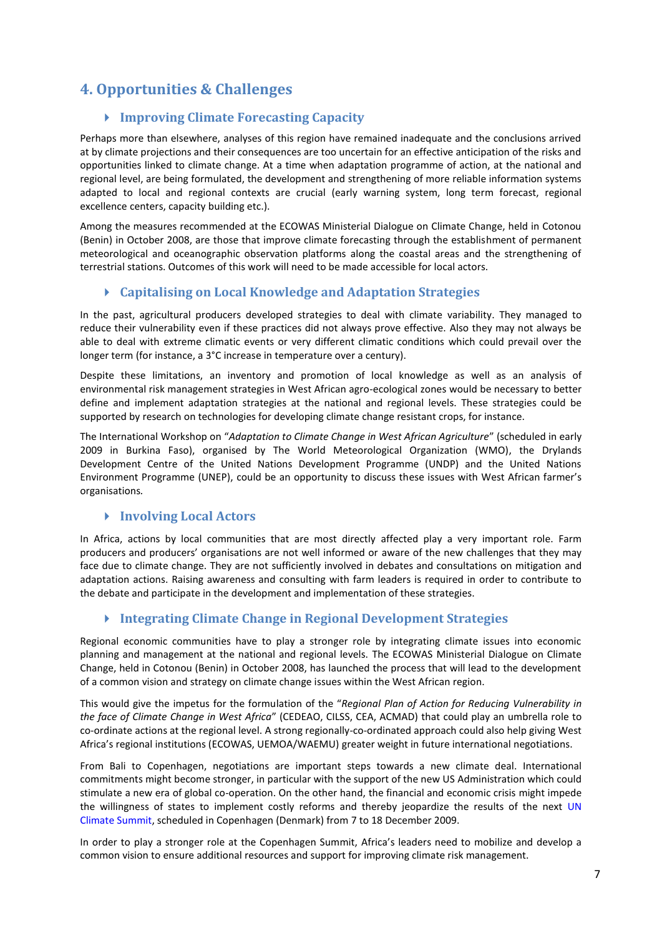### **4. Opportunities & Challenges**

### **Improving Climate Forecasting Capacity**

Perhaps more than elsewhere, analyses of this region have remained inadequate and the conclusions arrived at by climate projections and their consequences are too uncertain for an effective anticipation of the risks and opportunities linked to climate change. At a time when adaptation programme of action, at the national and regional level, are being formulated, the development and strengthening of more reliable information systems adapted to local and regional contexts are crucial (early warning system, long term forecast, regional excellence centers, capacity building etc.).

Among the measures recommended at the ECOWAS Ministerial Dialogue on Climate Change, held in Cotonou (Benin) in October 2008, are those that improve climate forecasting through the establishment of permanent meteorological and oceanographic observation platforms along the coastal areas and the strengthening of terrestrial stations. Outcomes of this work will need to be made accessible for local actors.

### **Capitalising on Local Knowledge and Adaptation Strategies**

In the past, agricultural producers developed strategies to deal with climate variability. They managed to reduce their vulnerability even if these practices did not always prove effective. Also they may not always be able to deal with extreme climatic events or very different climatic conditions which could prevail over the longer term (for instance, a 3°C increase in temperature over a century).

Despite these limitations, an inventory and promotion of local knowledge as well as an analysis of environmental risk management strategies in West African agro-ecological zones would be necessary to better define and implement adaptation strategies at the national and regional levels. These strategies could be supported by research on technologies for developing climate change resistant crops, for instance.

The International Workshop on "*Adaptation to Climate Change in West African Agriculture*" (scheduled in early 2009 in Burkina Faso), organised by The World Meteorological Organization (WMO), the Drylands Development Centre of the United Nations Development Programme (UNDP) and the United Nations Environment Programme (UNEP), could be an opportunity to discuss these issues with West African farmer's organisations*.*

### **Involving Local Actors**

In Africa, actions by local communities that are most directly affected play a very important role. Farm producers and producers' organisations are not well informed or aware of the new challenges that they may face due to climate change. They are not sufficiently involved in debates and consultations on mitigation and adaptation actions. Raising awareness and consulting with farm leaders is required in order to contribute to the debate and participate in the development and implementation of these strategies.

### **Integrating Climate Change in Regional Development Strategies**

Regional economic communities have to play a stronger role by integrating climate issues into economic planning and management at the national and regional levels. The ECOWAS Ministerial Dialogue on Climate Change, held in Cotonou (Benin) in October 2008, has launched the process that will lead to the development of a common vision and strategy on climate change issues within the West African region.

This would give the impetus for the formulation of the "*Regional Plan of Action for Reducing Vulnerability in the face of Climate Change in West Africa*" (CEDEAO, CILSS, CEA, ACMAD) that could play an umbrella role to co-ordinate actions at the regional level. A strong regionally-co-ordinated approach could also help giving West Africa's regional institutions (ECOWAS, UEMOA/WAEMU) greater weight in future international negotiations.

From Bali to Copenhagen, negotiations are important steps towards a new climate deal. International commitments might become stronger, in particular with the support of the new US Administration which could stimulate a new era of global co-operation. On the other hand, the financial and economic crisis might impede the willingness of states to implement costly reforms and thereby jeopardize the results of the next [UN](http://en.cop15.dk/)  [Climate Summit,](http://en.cop15.dk/) scheduled in Copenhagen (Denmark) from 7 to 18 December 2009.

In order to play a stronger role at the Copenhagen Summit, Africa's leaders need to mobilize and develop a common vision to ensure additional resources and support for improving climate risk management.